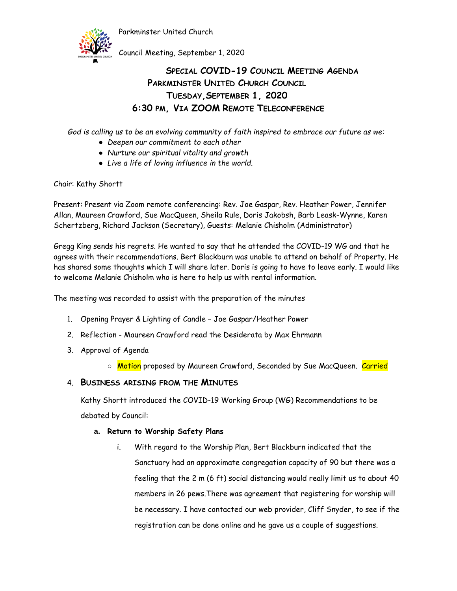

Council Meeting, September 1, 2020

# **SPECIAL COVID-19 COUNCIL MEETING AGENDA PARKMINSTER UNITED CHURCH COUNCIL TUESDAY,SEPTEMBER 1, 2020 6:30 PM, VIA ZOOM REMOTE TELECONFERENCE**

*God is calling us to be an evolving community of faith inspired to embrace our future as we:*

- *Deepen our commitment to each other*
- *Nurture our spiritual vitality and growth*
- *Live a life of loving influence in the world.*

## Chair: Kathy Shortt

Present: Present via Zoom remote conferencing: Rev. Joe Gaspar, Rev. Heather Power, Jennifer Allan, Maureen Crawford, Sue MacQueen, Sheila Rule, Doris Jakobsh, Barb Leask-Wynne, Karen Schertzberg, Richard Jackson (Secretary), Guests: Melanie Chisholm (Administrator)

Gregg King sends his regrets. He wanted to say that he attended the COVID-19 WG and that he agrees with their recommendations. Bert Blackburn was unable to attend on behalf of Property. He has shared some thoughts which I will share later. Doris is going to have to leave early. I would like to welcome Melanie Chisholm who is here to help us with rental information.

The meeting was recorded to assist with the preparation of the minutes

- 1. Opening Prayer & Lighting of Candle Joe Gaspar/Heather Power
- 2. Reflection Maureen Crawford read the Desiderata by Max Ehrmann
- 3. Approval of Agenda
	- <mark>Motion</mark> proposed by Maureen Crawford, Seconded by Sue MacQueen. <mark>Carried</mark>

# 4. **BUSINESS ARISING FROM THE MINUTES**

Kathy Shortt introduced the COVID-19 Working Group (WG) Recommendations to be debated by Council:

## **a. Return to Worship Safety Plans**

i. With regard to the Worship Plan, Bert Blackburn indicated that the Sanctuary had an approximate congregation capacity of 90 but there was a feeling that the 2 m (6 ft) social distancing would really limit us to about 40 members in 26 pews.There was agreement that registering for worship will be necessary. I have contacted our web provider, Cliff Snyder, to see if the registration can be done online and he gave us a couple of suggestions.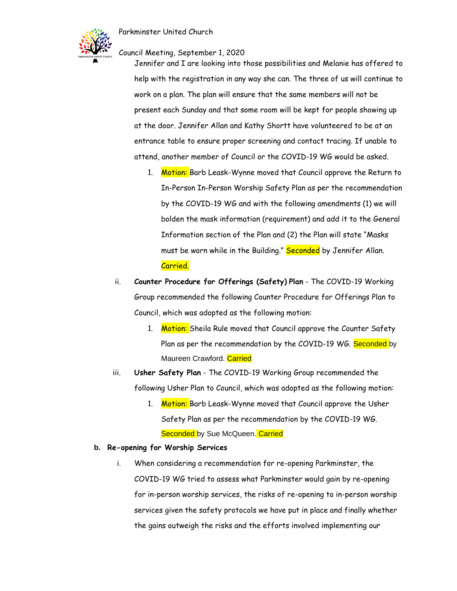

Council Meeting, September 1, 2020

Jennifer and I are looking into those possibilities and Melanie has offered to help with the registration in any way she can. The three of us will continue to work on a plan. The plan will ensure that the same members will not be present each Sunday and that some room will be kept for people showing up at the door. Jennifer Allan and Kathy Shortt have volunteered to be at an entrance table to ensure proper screening and contact tracing. If unable to attend, another member of Council or the COVID-19 WG would be asked.

- 1. Motion: Barb Leask-Wynne moved that Council approve the Return to In-Person In-Person Worship Safety Plan as per the recommendation by the COVID-19 WG and with the following amendments (1) we will bolden the mask information (requirement) and add it to the General Information section of the Plan and (2) the Plan will state "Masks must be worn while in the Building." Seconded by Jennifer Allan. Carried.
- ii. **Counter Procedure for Offerings (Safety) Plan** The COVID-19 Working Group recommended the following Counter Procedure for Offerings Plan to Council, which was adopted as the following motion:
	- 1. Motion: Sheila Rule moved that Council approve the Counter Safety Plan as per the recommendation by the COVID-19 WG. Seconded by Maureen Crawford. Carried
- iii. **Usher Safety Plan** The COVID-19 Working Group recommended the following Usher Plan to Council, which was adopted as the following motion:
	- 1. Motion: Barb Leask-Wynne moved that Council approve the Usher Safety Plan as per the recommendation by the COVID-19 WG. Seconded by Sue McQueen. Carried

## **b. Re-opening for Worship Services**

i. When considering a recommendation for re-opening Parkminster, the COVID-19 WG tried to assess what Parkminster would gain by re-opening for in-person worship services, the risks of re-opening to in-person worship services given the safety protocols we have put in place and finally whether the gains outweigh the risks and the efforts involved implementing our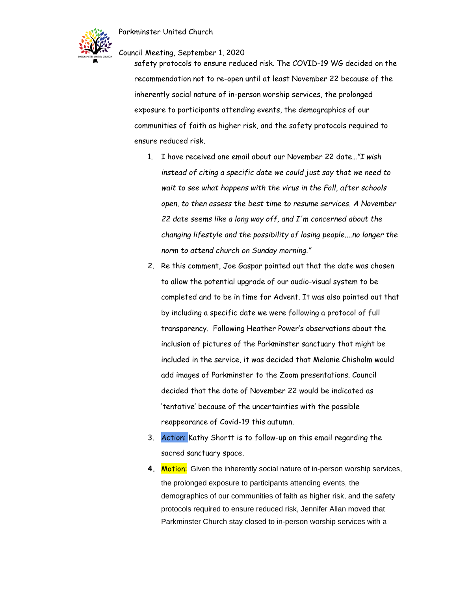

#### Council Meeting, September 1, 2020

safety protocols to ensure reduced risk. The COVID-19 WG decided on the recommendation not to re-open until at least November 22 because of the inherently social nature of in-person worship services, the prolonged exposure to participants attending events, the demographics of our communities of faith as higher risk, and the safety protocols required to ensure reduced risk.

- 1. I have received one email about our November 22 date…*"I wish instead of citing a specific date we could just say that we need to wait to see what happens with the virus in the Fall, after schools open, to then assess the best time to resume services. A November 22 date seems like a long way off, and I'm concerned about the changing lifestyle and the possibility of losing people....no longer the norm to attend church on Sunday morning."*
- 2. Re this comment, Joe Gaspar pointed out that the date was chosen to allow the potential upgrade of our audio-visual system to be completed and to be in time for Advent. It was also pointed out that by including a specific date we were following a protocol of full transparency. Following Heather Power's observations about the inclusion of pictures of the Parkminster sanctuary that might be included in the service, it was decided that Melanie Chisholm would add images of Parkminster to the Zoom presentations. Council decided that the date of November 22 would be indicated as 'tentative' because of the uncertainties with the possible reappearance of Covid-19 this autumn.
- 3. Action: Kathy Shortt is to follow-up on this email regarding the sacred sanctuary space.
- **4. Motion:** Given the inherently social nature of in-person worship services, the prolonged exposure to participants attending events, the demographics of our communities of faith as higher risk, and the safety protocols required to ensure reduced risk, Jennifer Allan moved that Parkminster Church stay closed to in-person worship services with a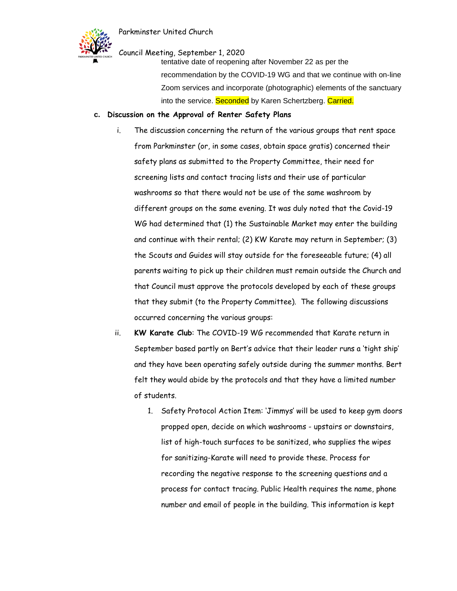

Council Meeting, September 1, 2020

tentative date of reopening after November 22 as per the recommendation by the COVID-19 WG and that we continue with on-line Zoom services and incorporate (photographic) elements of the sanctuary into the service. Seconded by Karen Schertzberg. Carried.

#### **c. Discussion on the Approval of Renter Safety Plans**

- i. The discussion concerning the return of the various groups that rent space from Parkminster (or, in some cases, obtain space gratis) concerned their safety plans as submitted to the Property Committee, their need for screening lists and contact tracing lists and their use of particular washrooms so that there would not be use of the same washroom by different groups on the same evening. It was duly noted that the Covid-19 WG had determined that (1) the Sustainable Market may enter the building and continue with their rental; (2) KW Karate may return in September; (3) the Scouts and Guides will stay outside for the foreseeable future; (4) all parents waiting to pick up their children must remain outside the Church and that Council must approve the protocols developed by each of these groups that they submit (to the Property Committee). The following discussions occurred concerning the various groups:
- ii. **KW Karate Club**: The COVID-19 WG recommended that Karate return in September based partly on Bert's advice that their leader runs a 'tight ship' and they have been operating safely outside during the summer months. Bert felt they would abide by the protocols and that they have a limited number of students.
	- 1. Safety Protocol Action Item: 'Jimmys' will be used to keep gym doors propped open, decide on which washrooms - upstairs or downstairs, list of high-touch surfaces to be sanitized, who supplies the wipes for sanitizing-Karate will need to provide these. Process for recording the negative response to the screening questions and a process for contact tracing. Public Health requires the name, phone number and email of people in the building. This information is kept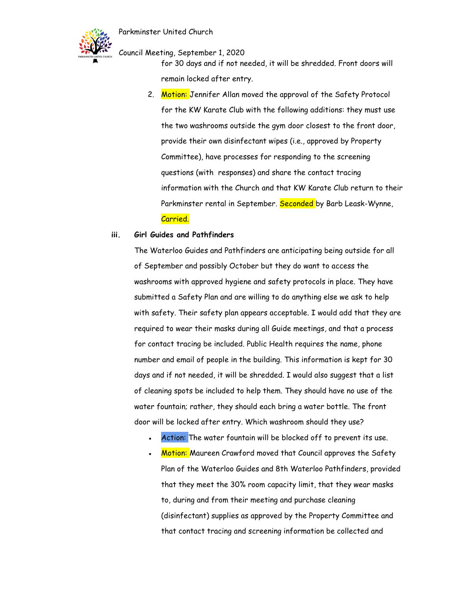

Council Meeting, September 1, 2020

for 30 days and if not needed, it will be shredded. Front doors will remain locked after entry.

2. Motion: Jennifer Allan moved the approval of the Safety Protocol for the KW Karate Club with the following additions: they must use the two washrooms outside the gym door closest to the front door, provide their own disinfectant wipes (i.e., approved by Property Committee), have processes for responding to the screening questions (with responses) and share the contact tracing information with the Church and that KW Karate Club return to their Parkminster rental in September. Seconded by Barb Leask-Wynne, Carried.

#### **iii. Girl Guides and Pathfinders**

The Waterloo Guides and Pathfinders are anticipating being outside for all of September and possibly October but they do want to access the washrooms with approved hygiene and safety protocols in place. They have submitted a Safety Plan and are willing to do anything else we ask to help with safety. Their safety plan appears acceptable. I would add that they are required to wear their masks during all Guide meetings, and that a process for contact tracing be included. Public Health requires the name, phone number and email of people in the building. This information is kept for 30 days and if not needed, it will be shredded. I would also suggest that a list of cleaning spots be included to help them. They should have no use of the water fountain; rather, they should each bring a water bottle. The front door will be locked after entry. Which washroom should they use?

- Action: The water fountain will be blocked off to prevent its use.
- Motion: Maureen Crawford moved that Council approves the Safety Plan of the Waterloo Guides and 8th Waterloo Pathfinders, provided that they meet the 30% room capacity limit, that they wear masks to, during and from their meeting and purchase cleaning (disinfectant) supplies as approved by the Property Committee and that contact tracing and screening information be collected and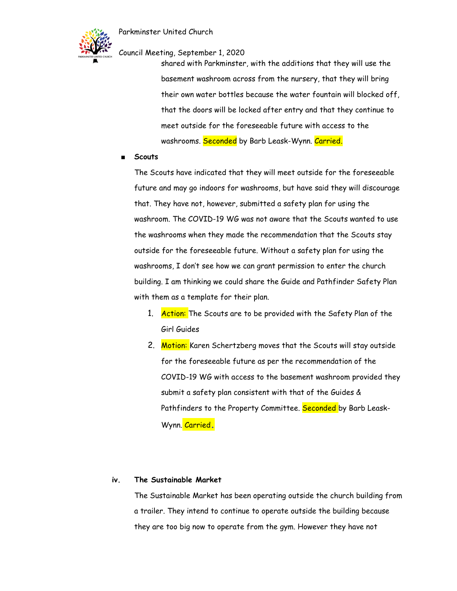

Council Meeting, September 1, 2020

shared with Parkminster, with the additions that they will use the basement washroom across from the nursery, that they will bring their own water bottles because the water fountain will blocked off, that the doors will be locked after entry and that they continue to meet outside for the foreseeable future with access to the washrooms. Seconded by Barb Leask-Wynn. Carried.

#### ■ **Scouts**

The Scouts have indicated that they will meet outside for the foreseeable future and may go indoors for washrooms, but have said they will discourage that. They have not, however, submitted a safety plan for using the washroom. The COVID-19 WG was not aware that the Scouts wanted to use the washrooms when they made the recommendation that the Scouts stay outside for the foreseeable future. Without a safety plan for using the washrooms, I don't see how we can grant permission to enter the church building. I am thinking we could share the Guide and Pathfinder Safety Plan with them as a template for their plan.

- 1. Action: The Scouts are to be provided with the Safety Plan of the Girl Guides
- 2. Motion: Karen Schertzberg moves that the Scouts will stay outside for the foreseeable future as per the recommendation of the COVID-19 WG with access to the basement washroom provided they submit a safety plan consistent with that of the Guides & Pathfinders to the Property Committee. Seconded by Barb Leask-Wynn. Carried**.**

#### **iv. The Sustainable Market**

The Sustainable Market has been operating outside the church building from a trailer. They intend to continue to operate outside the building because they are too big now to operate from the gym. However they have not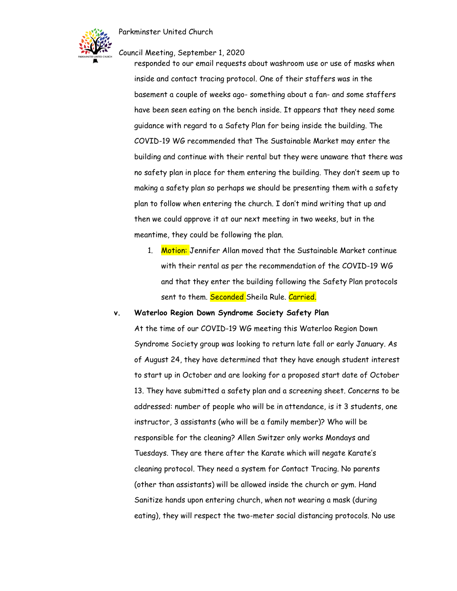

Council Meeting, September 1, 2020

responded to our email requests about washroom use or use of masks when inside and contact tracing protocol. One of their staffers was in the basement a couple of weeks ago- something about a fan- and some staffers have been seen eating on the bench inside. It appears that they need some guidance with regard to a Safety Plan for being inside the building. The COVID-19 WG recommended that The Sustainable Market may enter the building and continue with their rental but they were unaware that there was no safety plan in place for them entering the building. They don't seem up to making a safety plan so perhaps we should be presenting them with a safety plan to follow when entering the church. I don't mind writing that up and then we could approve it at our next meeting in two weeks, but in the meantime, they could be following the plan.

1. Motion: Jennifer Allan moved that the Sustainable Market continue with their rental as per the recommendation of the COVID-19 WG and that they enter the building following the Safety Plan protocols sent to them. Seconded Sheila Rule. Carried.

#### **v. Waterloo Region Down Syndrome Society Safety Plan**

At the time of our COVID-19 WG meeting this Waterloo Region Down Syndrome Society group was looking to return late fall or early January. As of August 24, they have determined that they have enough student interest to start up in October and are looking for a proposed start date of October 13. They have submitted a safety plan and a screening sheet. Concerns to be addressed: number of people who will be in attendance, is it 3 students, one instructor, 3 assistants (who will be a family member)? Who will be responsible for the cleaning? Allen Switzer only works Mondays and Tuesdays. They are there after the Karate which will negate Karate's cleaning protocol. They need a system for Contact Tracing. No parents (other than assistants) will be allowed inside the church or gym. Hand Sanitize hands upon entering church, when not wearing a mask (during eating), they will respect the two-meter social distancing protocols. No use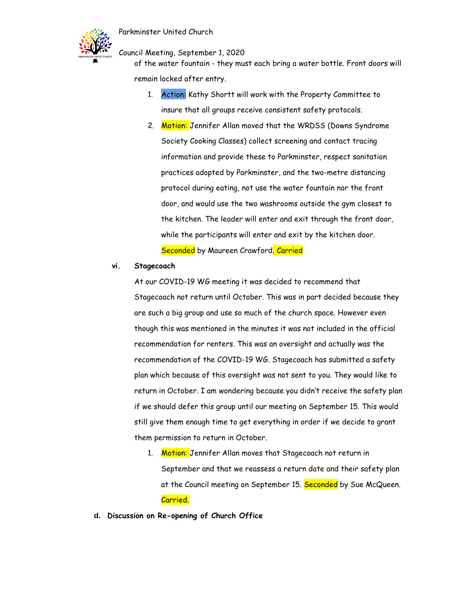

Council Meeting, September 1, 2020

of the water fountain - they must each bring a water bottle. Front doors will remain locked after entry.

- 1. Action: Kathy Shortt will work with the Property Committee to insure that all groups receive consistent safety protocols.
- 2. Motion: Jennifer Allan moved that the WRDSS (Downs Syndrome Society Cooking Classes) collect screening and contact tracing information and provide these to Parkminster, respect sanitation practices adopted by Parkminster, and the two-metre distancing protocol during eating, not use the water fountain nor the front door, and would use the two washrooms outside the gym closest to the kitchen. The leader will enter and exit through the front door, while the participants will enter and exit by the kitchen door. Seconded by Maureen Crawford. Carried

#### **vi. Stagecoach**

At our COVID-19 WG meeting it was decided to recommend that Stagecoach not return until October. This was in part decided because they are such a big group and use so much of the church space. However even though this was mentioned in the minutes it was not included in the official recommendation for renters. This was an oversight and actually was the recommendation of the COVID-19 WG. Stagecoach has submitted a safety plan which because of this oversight was not sent to you. They would like to return in October. I am wondering because you didn't receive the safety plan if we should defer this group until our meeting on September 15. This would still give them enough time to get everything in order if we decide to grant them permission to return in October.

- 1. Motion: Jennifer Allan moves that Stagecoach not return in September and that we reassess a return date and their safety plan at the Council meeting on September 15. <mark>Seconded</mark> by Sue McQueen. Carried.
- **d. Discussion on Re-opening of Church Office**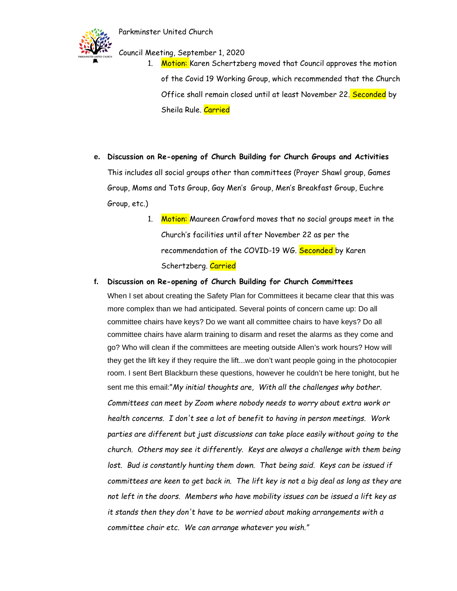

Council Meeting, September 1, 2020

- 1. Motion: Karen Schertzberg moved that Council approves the motion of the Covid 19 Working Group, which recommended that the Church Office shall remain closed until at least November 22. Seconded by Sheila Rule. Carried
- **e. Discussion on Re-opening of Church Building for Church Groups and Activities** This includes all social groups other than committees (Prayer Shawl group, Games Group, Moms and Tots Group, Gay Men's Group, Men's Breakfast Group, Euchre Group, etc.)
	- 1. Motion: Maureen Crawford moves that no social groups meet in the Church's facilities until after November 22 as per the recommendation of the COVID-19 WG. Seconded by Karen Schertzberg. Carried
- **f. Discussion on Re-opening of Church Building for Church Committees**

When I set about creating the Safety Plan for Committees it became clear that this was more complex than we had anticipated. Several points of concern came up: Do all committee chairs have keys? Do we want all committee chairs to have keys? Do all committee chairs have alarm training to disarm and reset the alarms as they come and go? Who will clean if the committees are meeting outside Allen's work hours? How will they get the lift key if they require the lift...we don't want people going in the photocopier room. I sent Bert Blackburn these questions, however he couldn't be here tonight, but he sent me this email:"*My initial thoughts are, With all the challenges why bother. Committees can meet by Zoom where nobody needs to worry about extra work or health concerns. I don't see a lot of benefit to having in person meetings. Work parties are different but just discussions can take place easily without going to the church. Others may see it differently. Keys are always a challenge with them being*  lost. Bud is constantly hunting them down. That being said. Keys can be issued if *committees are keen to get back in. The lift key is not a big deal as long as they are not left in the doors. Members who have mobility issues can be issued a lift key as it stands then they don't have to be worried about making arrangements with a committee chair etc. We can arrange whatever you wish."*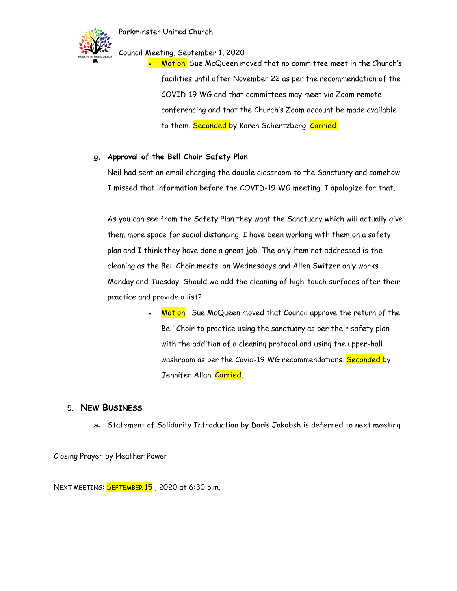

Council Meeting, September 1, 2020

• Motion: Sue McQueen moved that no committee meet in the Church's facilities until after November 22 as per the recommendation of the COVID-19 WG and that committees may meet via Zoom remote conferencing and that the Church's Zoom account be made available to them. Seconded by Karen Schertzberg. Carried.

## **g. Approval of the Bell Choir Safety Plan**

 Neil had sent an email changing the double classroom to the Sanctuary and somehow I missed that information before the COVID-19 WG meeting. I apologize for that.

 As you can see from the Safety Plan they want the Sanctuary which will actually give them more space for social distancing. I have been working with them on a safety plan and I think they have done a great job. The only item not addressed is the cleaning as the Bell Choir meets on Wednesdays and Allen Switzer only works Monday and Tuesday. Should we add the cleaning of high-touch surfaces after their practice and provide a list?

> Motion: Sue McQueen moved that Council approve the return of the Bell Choir to practice using the sanctuary as per their safety plan with the addition of a cleaning protocol and using the upper-hall washroom as per the Covid-19 WG recommendations. Seconded by Jennifer Allan. Carried.

# 5. **NEW BUSINESS**

**a.** Statement of Solidarity Introduction by Doris Jakobsh is deferred to next meeting

Closing Prayer by Heather Power

NEXT MEETING: **SEPTEMBER 15**, 2020 at 6:30 p.m.